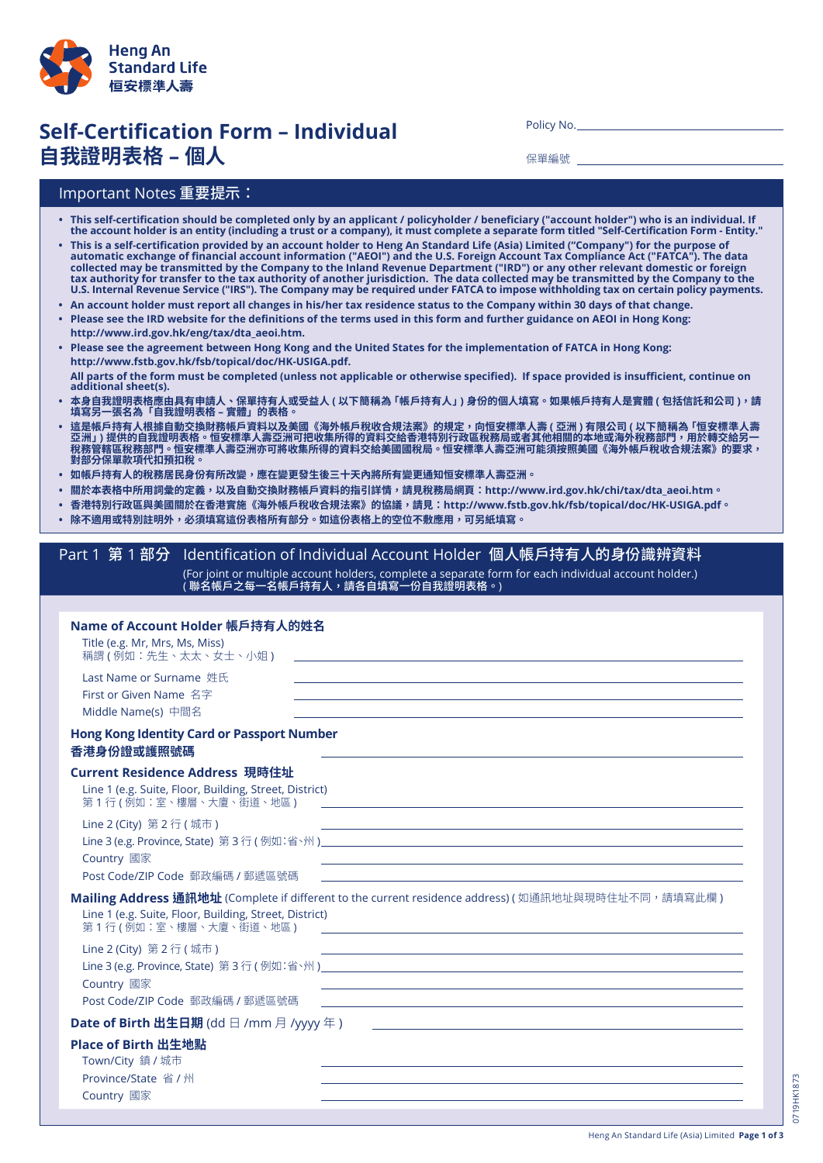

## Self-Certification Form – Individual **自我證明表格 – 個人**

Policy No.

保單編號

## Important Notes 重要提示:

- This self-certification should be completed only by an applicant / policyholder / beneficiary ("account holder") who is an individual. If the account holder is an entity (including a trust or a company), it must complete a separate form titled "Self-Certification Form - Entity."
- This is a self-certification provided by an account holder to Heng An Standard Life (Asia) Limited ("Company") for the purpose of automatic exchange of financial account information ("AEOI") and the U.S. Foreign Account Tax Compliance Act ("FATCA"). The data collected may be transmitted by the Company to the Inland Revenue Department ("IRD") or any other relevant domestic or foreign tax authority for transfer to the tax authority of another jurisdiction. The data collected may be transmitted by the Company to the U.S. Internal Revenue Service ("IRS"). The Company may be required under FATCA to impose withholding tax on certain policy payments.
- An account holder must report all changes in his/her tax residence status to the Company within 30 days of that change.
- . Please see the IRD website for the definitions of the terms used in this form and further guidance on AEOI in Hong Kong:  **http://www.ird.gov.hk/eng/tax/dta\_aeoi.htm.**
- . Please see the agreement between Hong Kong and the United States for the implementation of FATCA in Hong Kong:  **http://www.fstb.gov.hk/fsb/topical/doc/HK-USIGA.pdf.** All parts of the form must be completed (unless not applicable or otherwise specified). If space provided is insufficient, continue on additional sheet(s).
- **• 本身自我證明表格應由具有申請人、保單持有人或受益人 ( 以下簡稱為「帳戶持有人」) 身份的個人填寫。如果帳戶持有人是實體 ( 包括信託和公司 ),請 填寫另一張名為「自我證明表格 – 實體」的表格。**
- **• 這是帳戶持有人根據自動交換財務帳戶資料以及美國《海外帳戶稅收合規法案》的規定,向恒安標準人壽 ( 亞洲 ) 有限公司 ( 以下簡稱為「恒安標準人壽 亞洲」) 提供的自我證明表格。恒安標準人壽亞洲可把收集所得的資料交給香港特別行政區稅務局或者其他相關的本地或海外稅務部門,用於轉交給另一 稅務管轄區稅務部門。恒安標準人壽亞洲亦可將收集所得的資料交給美國國稅局。恒安標準人壽亞洲可能須按照美國《海外帳戶稅收合規法案》的要求, 對部分保單款項代扣預扣稅。**
- 如帳戶持有人的稅務居民身份有所改變,應在變更發生後三十天內將所有變更通知恒安標準人壽亞洲。
- 關於本表格中所用詞彙的定義,以及自動交換財務帳戶資料的指引詳情,請見稅務局網頁:http://www.ird.gov.hk/chi/tax/dta\_aeoi.htm。
- 香港特別行政區與美國關於在香港實施《海外帳戶稅收合規法案》的協議,請見:http://www.fstb.gov.hk/fsb/topical/doc/HK-USIGA.pdf。
- **• 除不適用或特別註明外,必須填寫這份表格所有部分。如這份表格上的空位不敷應用,可另紙填寫。**

## Part 1 第 1 部分 Identification of Individual Account Holder 個人帳戶持有人的身份識辨資料 (For joint or multiple account holders, complete a separate form for each individual account holder.) ( 聯名帳戶之每一名帳戶持有人,請各自填寫一份自我證明表格。)

| Name of Account Holder 帳戶持有人的姓名<br>Title (e.g. Mr, Mrs, Ms, Miss)<br>稱謂 (例如:先生、太太、女士、小姐)                                                                                                                                                             | <u> 1989 - Johann Stoff, deutscher Stoffen und der Stoffen und der Stoffen und der Stoffen und der Stoffen und der</u>                                                                                                                                                                                                                            |  |  |  |  |
|------------------------------------------------------------------------------------------------------------------------------------------------------------------------------------------------------------------------------------------------------|---------------------------------------------------------------------------------------------------------------------------------------------------------------------------------------------------------------------------------------------------------------------------------------------------------------------------------------------------|--|--|--|--|
| Last Name or Surname 姓氏<br>First or Given Name 名字<br>Middle Name(s) 中間名                                                                                                                                                                              | ,我们也不能在这里的时候,我们也不能在这里的时候,我们也不能会在这里的时候,我们也不能会在这里的时候,我们也不能会在这里的时候,我们也不能会在这里的时候,我们也<br>,我们也不会有什么。""我们的人,我们也不会有什么?""我们的人,我们也不会有什么?""我们的人,我们也不会有什么?""我们的人,我们也不会有什么?""我们的人<br>,我们也不能在这里的时候,我们也不能在这里的时候,我们也不能会在这里的时候,我们也不能会在这里的时候,我们也不能会在这里的时候,我们也不能会在这里的时候,我们也                                                                                          |  |  |  |  |
| <b>Hong Kong Identity Card or Passport Number</b><br>香港身份證或護照號碼                                                                                                                                                                                      |                                                                                                                                                                                                                                                                                                                                                   |  |  |  |  |
| Current Residence Address 現時住址<br>Line 1 (e.g. Suite, Floor, Building, Street, District)<br>第 1 行 ( 例如:室、樓層、大廈、街道、地區 )                                                                                                                               | and the control of the control of the control of the control of the control of the control of the control of the                                                                                                                                                                                                                                  |  |  |  |  |
| Line 2 (City) 第 2 行 ( 城市 )<br>Country 國家<br>Post Code/ZIP Code 郵政編碼 / 郵遞區號碼                                                                                                                                                                          | and the control of the control of the control of the control of the control of the control of the control of the<br><u> 1989 - Johann Stoff, amerikansk politiker (d. 1989)</u><br><u> 1989 - Johann John Stone, markin sanat masjid asl nashrida ma'lumot olib ma'lumot boʻlgan ma'lumot boʻlgan m</u>                                           |  |  |  |  |
| Mailing Address 通訊地址 (Complete if different to the current residence address) (如通訊地址與現時住址不同,請填寫此欄)<br>Line 1 (e.g. Suite, Floor, Building, Street, District)<br>第1行(例如:室、樓層、大廈、街道、地區)<br><u> 1989 - Johann Stoff, amerikansk politiker (d. 1989)</u> |                                                                                                                                                                                                                                                                                                                                                   |  |  |  |  |
| Line 2 (City) 第 2 行 ( 城市 )<br>Country 國家<br>Post Code/ZIP Code 郵政編碼 / 郵遞區號碼                                                                                                                                                                          | ,我们也不能在这里,我们也不能在这里的时候,我们也不能会在这里,我们也不能会在这里,我们也不能会在这里的时候,我们也不能会在这里,我们也不能会不能会不能会。<br>第2012章 我们的时候,我们的时候,我们的时候,我们的时候,我们的时候,我们的时候,我们的时候,我们的时候,我们的时候,我们的时候,我们的时候,我们的时候,我<br><u> 1989 - Johann Stoff, amerikansk politiker (d. 1989)</u>                                                                                                                 |  |  |  |  |
|                                                                                                                                                                                                                                                      |                                                                                                                                                                                                                                                                                                                                                   |  |  |  |  |
| Place of Birth 出生地點<br>Town/City 鎮 / 城市<br>Province/State 省 / 州<br>Country 國家                                                                                                                                                                        | the control of the control of the control of the control of the control of the control of the control of the control of the control of the control of the control of the control of the control of the control of the control<br>and the control of the control of the control of the control of the control of the control of the control of the |  |  |  |  |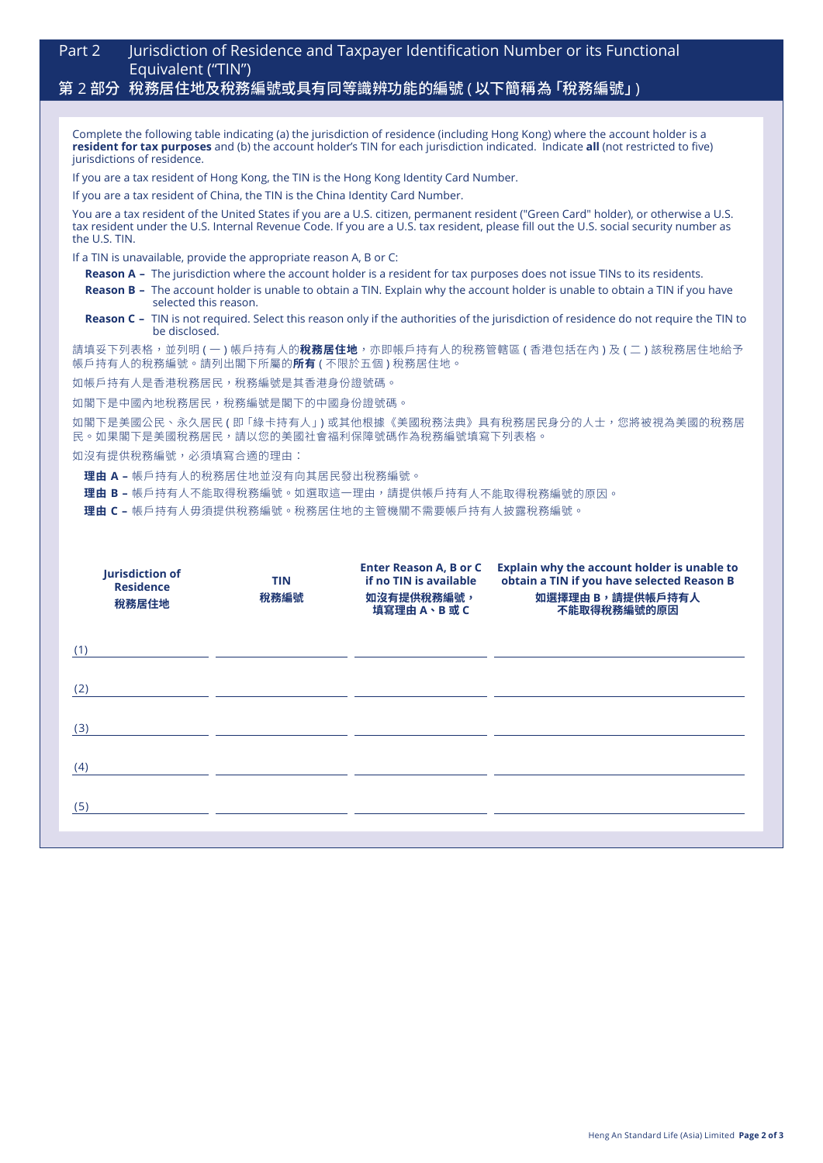| Part 2                                                                                                                                                                                                                                                                                            | Jurisdiction of Residence and Taxpayer Identification Number or its Functional<br>Equivalent ("TIN")                                                                                                                                                                                           |  |  |  |
|---------------------------------------------------------------------------------------------------------------------------------------------------------------------------------------------------------------------------------------------------------------------------------------------------|------------------------------------------------------------------------------------------------------------------------------------------------------------------------------------------------------------------------------------------------------------------------------------------------|--|--|--|
|                                                                                                                                                                                                                                                                                                   | 第 2 部分 稅務居住地及稅務編號或具有同等識辨功能的編號 ( 以下簡稱為 「稅務編號」)                                                                                                                                                                                                                                                  |  |  |  |
|                                                                                                                                                                                                                                                                                                   |                                                                                                                                                                                                                                                                                                |  |  |  |
| Complete the following table indicating (a) the jurisdiction of residence (including Hong Kong) where the account holder is a<br>resident for tax purposes and (b) the account holder's TIN for each jurisdiction indicated. Indicate all (not restricted to five)<br>jurisdictions of residence. |                                                                                                                                                                                                                                                                                                |  |  |  |
| If you are a tax resident of Hong Kong, the TIN is the Hong Kong Identity Card Number.                                                                                                                                                                                                            |                                                                                                                                                                                                                                                                                                |  |  |  |
| If you are a tax resident of China, the TIN is the China Identity Card Number.                                                                                                                                                                                                                    |                                                                                                                                                                                                                                                                                                |  |  |  |
|                                                                                                                                                                                                                                                                                                   | You are a tax resident of the United States if you are a U.S. citizen, permanent resident ("Green Card" holder), or otherwise a U.S.<br>tax resident under the U.S. Internal Revenue Code. If you are a U.S. tax resident, please fill out the U.S. social security number as<br>the U.S. TIN. |  |  |  |
| If a TIN is unavailable, provide the appropriate reason A, B or C:                                                                                                                                                                                                                                |                                                                                                                                                                                                                                                                                                |  |  |  |
|                                                                                                                                                                                                                                                                                                   | <b>Reason A</b> – The jurisdiction where the account holder is a resident for tax purposes does not issue TINs to its residents.                                                                                                                                                               |  |  |  |
|                                                                                                                                                                                                                                                                                                   | <b>Reason B –</b> The account holder is unable to obtain a TIN. Explain why the account holder is unable to obtain a TIN if you have<br>selected this reason.                                                                                                                                  |  |  |  |

**Reason C –** TIN is not required. Select this reason only if the authorities of the jurisdiction of residence do not require the TIN to be disclosed.

請填妥下列表格,並列明 ( 一 ) 帳戶持有人的**稅務居住地**,亦即帳戶持有人的稅務管轄區 ( 香港包括在內 ) 及 ( 二 ) 該稅務居住地給予 帳戶持有人的稅務編號。請列出閣下所屬的**所有** ( 不限於五個 ) 稅務居住地。

如帳戶持有人是香港稅務居民,稅務編號是其香港身份證號碼。

如閣下是中國內地稅務居民,稅務編號是閣下的中國身份證號碼。

如閣下是美國公民、永久居民 ( 即 「綠卡持有人」) 或其他根據《美國稅務法典》具有稅務居民身分的人士, 您將被視為美國的稅務居 民。如果閣下是美國稅務居民,請以您的美國社會福利保障號碼作為稅務編號填寫下列表格。

如沒有提供稅務編號,必須填寫合適的理由:

**理由 A –** 帳戶持有人的稅務居住地並沒有向其居民發出稅務編號。

**理由 B –** 帳戶持有人不能取得稅務編號。如選取這一理由,請提供帳戶持有人不能取得稅務編號的原因。

**理由 C –** 帳戶持有人毋須提供稅務編號。稅務居住地的主管機關不需要帳戶持有人披露稅務編號。

| Jurisdiction of<br><b>Residence</b><br>稅務居住地 | <b>TIN</b><br>稅務編號 | <b>Enter Reason A, B or C</b><br>if no TIN is available<br>如沒有提供稅務編號,<br>填寫理由A、B或C | Explain why the account holder is unable to<br>obtain a TIN if you have selected Reason B<br>如選擇理由 B,請提供帳戶持有人<br>不能取得稅務編號的原因 |
|----------------------------------------------|--------------------|------------------------------------------------------------------------------------|------------------------------------------------------------------------------------------------------------------------------|
| (1)                                          |                    |                                                                                    |                                                                                                                              |
| (2)                                          |                    |                                                                                    |                                                                                                                              |
| (3)                                          |                    |                                                                                    |                                                                                                                              |
| (4)                                          |                    |                                                                                    |                                                                                                                              |
| (5)                                          |                    |                                                                                    |                                                                                                                              |
|                                              |                    |                                                                                    |                                                                                                                              |